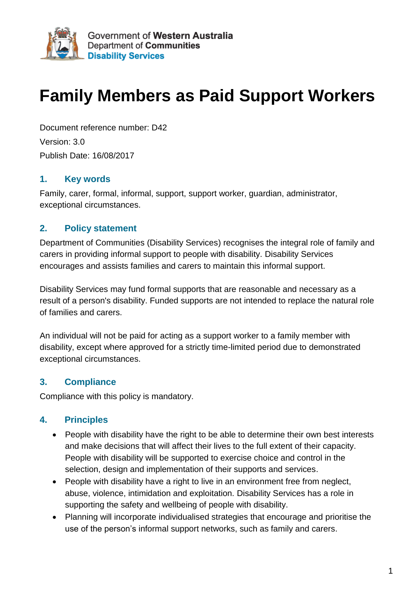

# **Family Members as Paid Support Workers**

Document reference number: D42 Version: 3.0 Publish Date: 16/08/2017

#### **1. Key words**

Family, carer, formal, informal, support, support worker, guardian, administrator, exceptional circumstances.

#### **2. Policy statement**

Department of Communities (Disability Services) recognises the integral role of family and carers in providing informal support to people with disability. Disability Services encourages and assists families and carers to maintain this informal support.

Disability Services may fund formal supports that are reasonable and necessary as a result of a person's disability. Funded supports are not intended to replace the natural role of families and carers.

An individual will not be paid for acting as a support worker to a family member with disability, except where approved for a strictly time-limited period due to demonstrated exceptional circumstances.

#### **3. Compliance**

Compliance with this policy is mandatory.

#### **4. Principles**

- People with disability have the right to be able to determine their own best interests and make decisions that will affect their lives to the full extent of their capacity. People with disability will be supported to exercise choice and control in the selection, design and implementation of their supports and services.
- People with disability have a right to live in an environment free from neglect, abuse, violence, intimidation and exploitation. Disability Services has a role in supporting the safety and wellbeing of people with disability.
- Planning will incorporate individualised strategies that encourage and prioritise the use of the person's informal support networks, such as family and carers.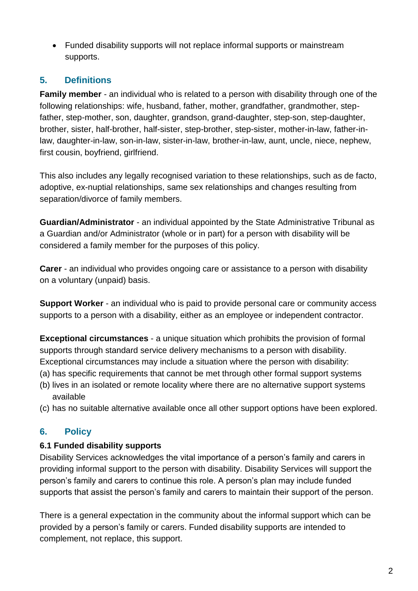Funded disability supports will not replace informal supports or mainstream supports.

## **5. Definitions**

**Family member** - an individual who is related to a person with disability through one of the following relationships: wife, husband, father, mother, grandfather, grandmother, stepfather, step-mother, son, daughter, grandson, grand-daughter, step-son, step-daughter, brother, sister, half-brother, half-sister, step-brother, step-sister, mother-in-law, father-inlaw, daughter-in-law, son-in-law, sister-in-law, brother-in-law, aunt, uncle, niece, nephew, first cousin, boyfriend, girlfriend.

This also includes any legally recognised variation to these relationships, such as de facto, adoptive, ex-nuptial relationships, same sex relationships and changes resulting from separation/divorce of family members.

**Guardian/Administrator** - an individual appointed by the State Administrative Tribunal as a Guardian and/or Administrator (whole or in part) for a person with disability will be considered a family member for the purposes of this policy.

**Carer** - an individual who provides ongoing care or assistance to a person with disability on a voluntary (unpaid) basis.

**Support Worker** - an individual who is paid to provide personal care or community access supports to a person with a disability, either as an employee or independent contractor.

**Exceptional circumstances** - a unique situation which prohibits the provision of formal supports through standard service delivery mechanisms to a person with disability. Exceptional circumstances may include a situation where the person with disability:

- (a) has specific requirements that cannot be met through other formal support systems
- (b) lives in an isolated or remote locality where there are no alternative support systems available
- (c) has no suitable alternative available once all other support options have been explored.

## **6. Policy**

#### **6.1 Funded disability supports**

Disability Services acknowledges the vital importance of a person's family and carers in providing informal support to the person with disability. Disability Services will support the person's family and carers to continue this role. A person's plan may include funded supports that assist the person's family and carers to maintain their support of the person.

There is a general expectation in the community about the informal support which can be provided by a person's family or carers. Funded disability supports are intended to complement, not replace, this support.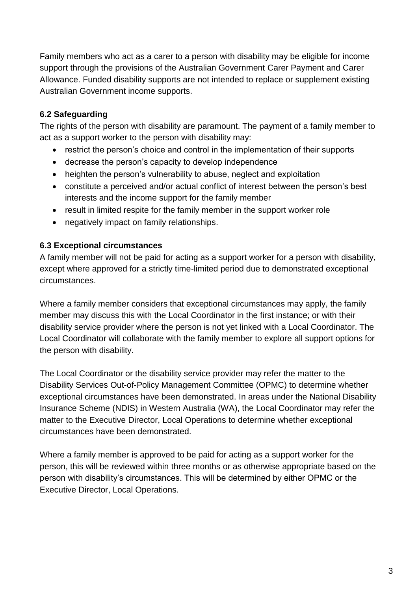Family members who act as a carer to a person with disability may be eligible for income support through the provisions of the Australian Government Carer Payment and Carer Allowance. Funded disability supports are not intended to replace or supplement existing Australian Government income supports.

#### **6.2 Safeguarding**

The rights of the person with disability are paramount. The payment of a family member to act as a support worker to the person with disability may:

- restrict the person's choice and control in the implementation of their supports
- decrease the person's capacity to develop independence
- heighten the person's vulnerability to abuse, neglect and exploitation
- constitute a perceived and/or actual conflict of interest between the person's best interests and the income support for the family member
- result in limited respite for the family member in the support worker role
- negatively impact on family relationships.

#### **6.3 Exceptional circumstances**

A family member will not be paid for acting as a support worker for a person with disability, except where approved for a strictly time-limited period due to demonstrated exceptional circumstances.

Where a family member considers that exceptional circumstances may apply, the family member may discuss this with the Local Coordinator in the first instance; or with their disability service provider where the person is not yet linked with a Local Coordinator. The Local Coordinator will collaborate with the family member to explore all support options for the person with disability.

The Local Coordinator or the disability service provider may refer the matter to the Disability Services Out-of-Policy Management Committee (OPMC) to determine whether exceptional circumstances have been demonstrated. In areas under the National Disability Insurance Scheme (NDIS) in Western Australia (WA), the Local Coordinator may refer the matter to the Executive Director, Local Operations to determine whether exceptional circumstances have been demonstrated.

Where a family member is approved to be paid for acting as a support worker for the person, this will be reviewed within three months or as otherwise appropriate based on the person with disability's circumstances. This will be determined by either OPMC or the Executive Director, Local Operations.